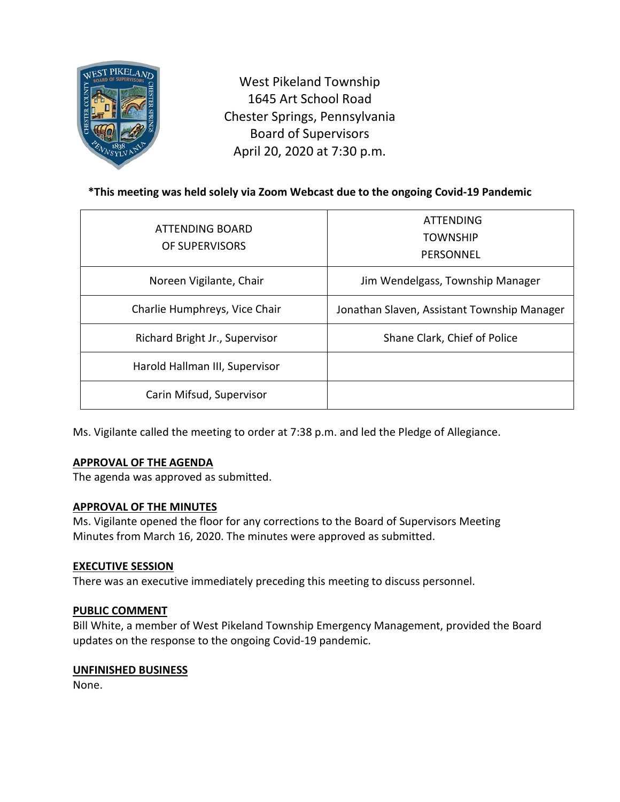

West Pikeland Township 1645 Art School Road Chester Springs, Pennsylvania Board of Supervisors April 20, 2020 at 7:30 p.m.

# **\*This meeting was held solely via Zoom Webcast due to the ongoing Covid-19 Pandemic**

| ATTENDING BOARD<br>OF SUPERVISORS | <b>ATTENDING</b><br><b>TOWNSHIP</b><br>PERSONNEL |
|-----------------------------------|--------------------------------------------------|
| Noreen Vigilante, Chair           | Jim Wendelgass, Township Manager                 |
| Charlie Humphreys, Vice Chair     | Jonathan Slaven, Assistant Township Manager      |
| Richard Bright Jr., Supervisor    | Shane Clark, Chief of Police                     |
| Harold Hallman III, Supervisor    |                                                  |
| Carin Mifsud, Supervisor          |                                                  |

Ms. Vigilante called the meeting to order at 7:38 p.m. and led the Pledge of Allegiance.

#### **APPROVAL OF THE AGENDA**

The agenda was approved as submitted.

#### **APPROVAL OF THE MINUTES**

Ms. Vigilante opened the floor for any corrections to the Board of Supervisors Meeting Minutes from March 16, 2020. The minutes were approved as submitted.

#### **EXECUTIVE SESSION**

There was an executive immediately preceding this meeting to discuss personnel.

#### **PUBLIC COMMENT**

Bill White, a member of West Pikeland Township Emergency Management, provided the Board updates on the response to the ongoing Covid-19 pandemic.

#### **UNFINISHED BUSINESS**

None.